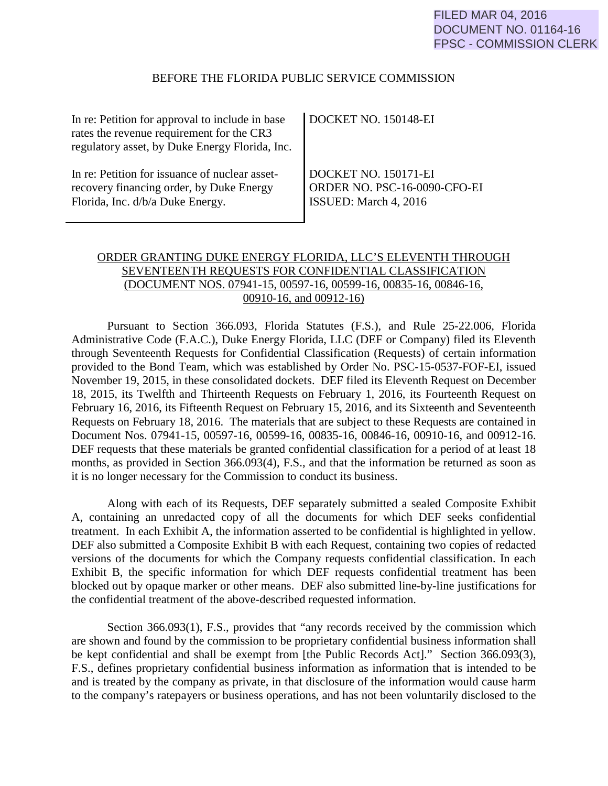#### BEFORE THE FLORIDA PUBLIC SERVICE COMMISSION

| In re: Petition for approval to include in base<br>rates the revenue requirement for the CR3<br>regulatory asset, by Duke Energy Florida, Inc. | DOCKET NO. 150148-EI              |
|------------------------------------------------------------------------------------------------------------------------------------------------|-----------------------------------|
| In re: Petition for issuance of nuclear asset-                                                                                                 | DOCKET NO. 150171-EI              |
| recovery financing order, by Duke Energy                                                                                                       | ORDER NO. PSC-16-0090-CFO-EI      |
| Florida, Inc. d/b/a Duke Energy.                                                                                                               | $\parallel$ ISSUED: March 4, 2016 |

# ORDER GRANTING DUKE ENERGY FLORIDA, LLC'S ELEVENTH THROUGH SEVENTEENTH REQUESTS FOR CONFIDENTIAL CLASSIFICATION (DOCUMENT NOS. 07941-15, 00597-16, 00599-16, 00835-16, 00846-16, 00910-16, and 00912-16)

 Pursuant to Section 366.093, Florida Statutes (F.S.), and Rule 25-22.006, Florida Administrative Code (F.A.C.), Duke Energy Florida, LLC (DEF or Company) filed its Eleventh through Seventeenth Requests for Confidential Classification (Requests) of certain information provided to the Bond Team, which was established by Order No. PSC-15-0537-FOF-EI, issued November 19, 2015, in these consolidated dockets. DEF filed its Eleventh Request on December 18, 2015, its Twelfth and Thirteenth Requests on February 1, 2016, its Fourteenth Request on February 16, 2016, its Fifteenth Request on February 15, 2016, and its Sixteenth and Seventeenth Requests on February 18, 2016. The materials that are subject to these Requests are contained in Document Nos. 07941-15, 00597-16, 00599-16, 00835-16, 00846-16, 00910-16, and 00912-16. DEF requests that these materials be granted confidential classification for a period of at least 18 months, as provided in Section 366.093(4), F.S., and that the information be returned as soon as it is no longer necessary for the Commission to conduct its business.

Along with each of its Requests, DEF separately submitted a sealed Composite Exhibit A, containing an unredacted copy of all the documents for which DEF seeks confidential treatment. In each Exhibit A, the information asserted to be confidential is highlighted in yellow. DEF also submitted a Composite Exhibit B with each Request, containing two copies of redacted versions of the documents for which the Company requests confidential classification. In each Exhibit B, the specific information for which DEF requests confidential treatment has been blocked out by opaque marker or other means. DEF also submitted line-by-line justifications for the confidential treatment of the above-described requested information.

Section 366.093(1), F.S., provides that "any records received by the commission which are shown and found by the commission to be proprietary confidential business information shall be kept confidential and shall be exempt from [the Public Records Act]." Section 366.093(3), F.S., defines proprietary confidential business information as information that is intended to be and is treated by the company as private, in that disclosure of the information would cause harm to the company's ratepayers or business operations, and has not been voluntarily disclosed to the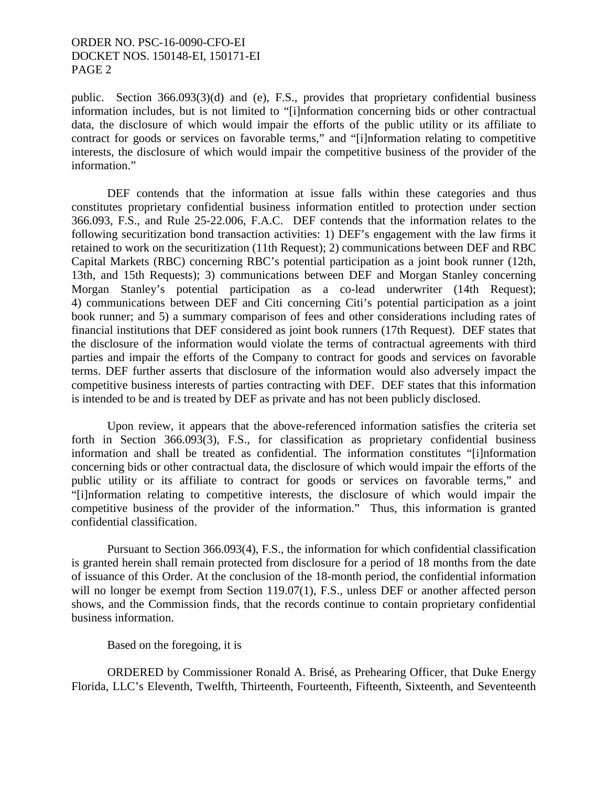### ORDER NO. PSC-16-0090-CFO-EI DOCKET NOS. 150148-EI, 150171-EI PAGE 2

public. Section 366.093(3)(d) and (e), F.S., provides that proprietary confidential business information includes, but is not limited to "[i]nformation concerning bids or other contractual data, the disclosure of which would impair the efforts of the public utility or its affiliate to contract for goods or services on favorable terms," and "[i]nformation relating to competitive interests, the disclosure of which would impair the competitive business of the provider of the information."

DEF contends that the information at issue falls within these categories and thus constitutes proprietary confidential business information entitled to protection under section 366.093, F.S., and Rule 25-22.006, F.A.C. DEF contends that the information relates to the following securitization bond transaction activities: 1) DEF's engagement with the law firms it retained to work on the securitization (11th Request); 2) communications between DEF and RBC Capital Markets (RBC) concerning RBC's potential participation as a joint book runner (12th, 13th, and 15th Requests); 3) communications between DEF and Morgan Stanley concerning Morgan Stanley's potential participation as a co-lead underwriter (14th Request); 4) communications between DEF and Citi concerning Citi's potential participation as a joint book runner; and 5) a summary comparison of fees and other considerations including rates of financial institutions that DEF considered as joint book runners (17th Request). DEF states that the disclosure of the information would violate the terms of contractual agreements with third parties and impair the efforts of the Company to contract for goods and services on favorable terms. DEF further asserts that disclosure of the information would also adversely impact the competitive business interests of parties contracting with DEF. DEF states that this information is intended to be and is treated by DEF as private and has not been publicly disclosed.

Upon review, it appears that the above-referenced information satisfies the criteria set forth in Section 366.093(3), F.S., for classification as proprietary confidential business information and shall be treated as confidential. The information constitutes "[i]nformation concerning bids or other contractual data, the disclosure of which would impair the efforts of the public utility or its affiliate to contract for goods or services on favorable terms," and "[i]nformation relating to competitive interests, the disclosure of which would impair the competitive business of the provider of the information." Thus, this information is granted confidential classification.

Pursuant to Section 366.093(4), F.S., the information for which confidential classification is granted herein shall remain protected from disclosure for a period of 18 months from the date of issuance of this Order. At the conclusion of the 18-month period, the confidential information will no longer be exempt from Section 119.07(1), F.S., unless DEF or another affected person shows, and the Commission finds, that the records continue to contain proprietary confidential business information.

Based on the foregoing, it is

ORDERED by Commissioner Ronald A. Brisé, as Prehearing Officer, that Duke Energy Florida, LLC's Eleventh, Twelfth, Thirteenth, Fourteenth, Fifteenth, Sixteenth, and Seventeenth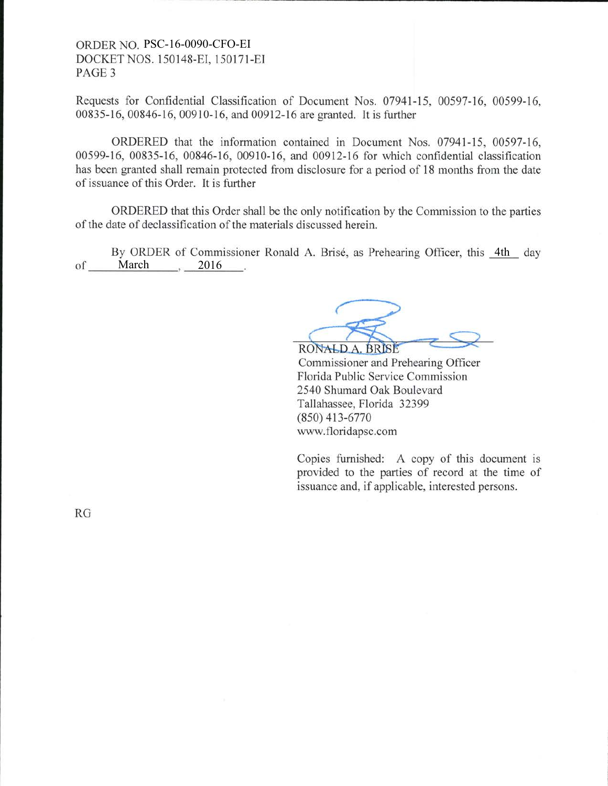## ORDER NO. PSC-16-0090-CFO-EI DOCKET NOS. 1 50148-EI. I 50171-EI PAGE 3

Requests for Confidential Classification of Document Nos. 07941-15, 00597-16, 00599-16, 00835-16, 00846-16, 00910-16, and 00912-16 arc granted. It is further

ORDERED that the information contained in Document Nos. 07941-15, 00597-16, 00599-16, 00835-16, 00846-16, 00910-16, and 00912-16 for which confidential classification has been granted shall remain protected from disclosure for a period of 18 months from the date of issuance of this Order. It is further

ORDERED that this Order shall be the only notification by the Commission to the parties of the date of declassification of the materials discussed herein.

of <u>March</u>, 2016 By ORDER of Commissioner Ronald A. Brisé, as Prehearing Officer, this 4th day

RONALD A. BRISE

Commissioner and Prehearing Officer Florida Public Service Commission 2540 Shumard Oak Boulevard Tallahassee, Florida 32399 (8s0) 413-6770 www.floridapsc.com

Copies furnished: A copy of this document is provided to the parties of record at the time of issuance and, if applicable, interested persons.

RG